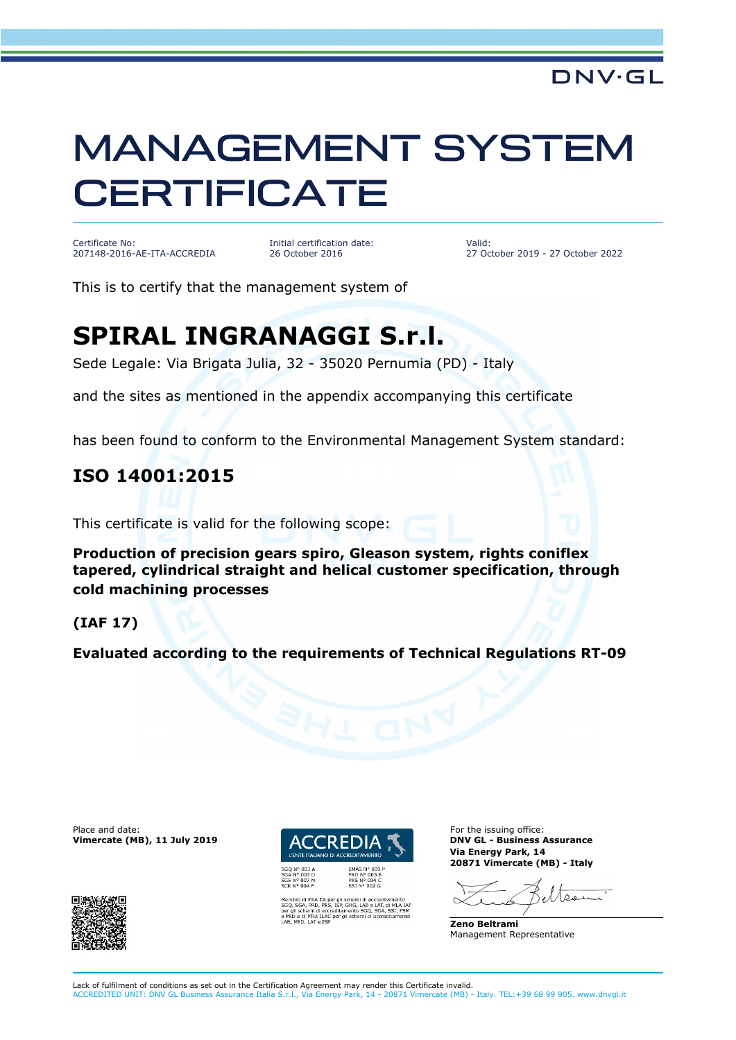### DNV·GL

# MANAGEMENT SYSTEM **CERTIFICATE**

Certificate No: 207148-2016-AE-ITA-ACCREDIA Initial certification date: 26 October 2016

Valid: 27 October 2019 - 27 October 2022

This is to certify that the management system of

# **SPIRAL INGRANAGGI S.r.l.**

Sede Legale: Via Brigata Julia, 32 - 35020 Pernumia (PD) - Italy

and the sites as mentioned in the appendix accompanying this certificate

has been found to conform to the Environmental Management System standard:

#### **ISO 14001:2015**

This certificate is valid for the following scope:

**Production of precision gears spiro, Gleason system, rights coniflex tapered, cylindrical straight and helical customer specification, through cold machining processes**

#### **(IAF 17)**

**Evaluated according to the requirements of Technical Regulations RT-09**

Place and date: **Vimercate (MB), 11 July 2019**





EA per gli schemi di accreditamento<br>PRS, ISP, GHG, LAB e LAT, di MLA IA<br>i accreditamento SGQ, SGA, SSI, FSM<br>ILAC per gli schemi di accreditamento

For the issuing office: **DNV GL - Business Assurance Via Energy Park, 14 20871 Vimercate (MB) - Italy**

Mese

**Zeno Beltrami** Management Representative